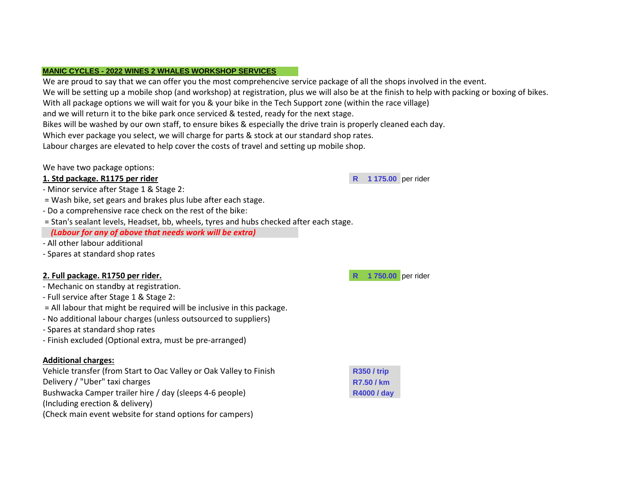## **MANIC CYCLES - 2022 WINES 2 WHALES WORKSHOP SERVICES**

We are proud to say that we can offer you the most comprehencive service package of all the shops involved in the event. We will be setting up a mobile shop (and workshop) at registration, plus we will also be at the finish to help with packing or boxing of bikes. With all package options we will wait for you & your bike in the Tech Support zone (within the race village) and we will return it to the bike park once serviced & tested, ready for the next stage. Bikes will be washed by our own staff, to ensure bikes & especially the drive train is properly cleaned each day. Which ever package you select, we will charge for parts & stock at our standard shop rates.

Labour charges are elevated to help cover the costs of travel and setting up mobile shop.

We have two package options:

## **1. Std package. R1175 per rider R** 1 175.00 per rider



- Minor service after Stage 1 & Stage 2:

- = Wash bike, set gears and brakes plus lube after each stage.
- Do a comprehensive race check on the rest of the bike:
- = Stan's sealant levels, Headset, bb, wheels, tyres and hubs checked after each stage.

 *(Labour for any of above that needs work will be extra)*

- All other labour additional
- Spares at standard shop rates

## **2. Full package. R1750 per rider. R** 1750.00 per rider

- Mechanic on standby at registration.
- Full service after Stage 1 & Stage 2:
- = All labour that might be required will be inclusive in this package.
- No additional labour charges (unless outsourced to suppliers)
- Spares at standard shop rates
- Finish excluded (Optional extra, must be pre-arranged)

## **Additional charges:**

Vehicle transfer (from Start to Oac Valley or Oak Valley to Finish **R350 / trip**

Delivery / "Uber" taxi charges **R7.50 / km**

Bushwacka Camper trailer hire / day (sleeps 4-6 people) **R4000 / day**

(Including erection & delivery)

(Check main event website for stand options for campers)